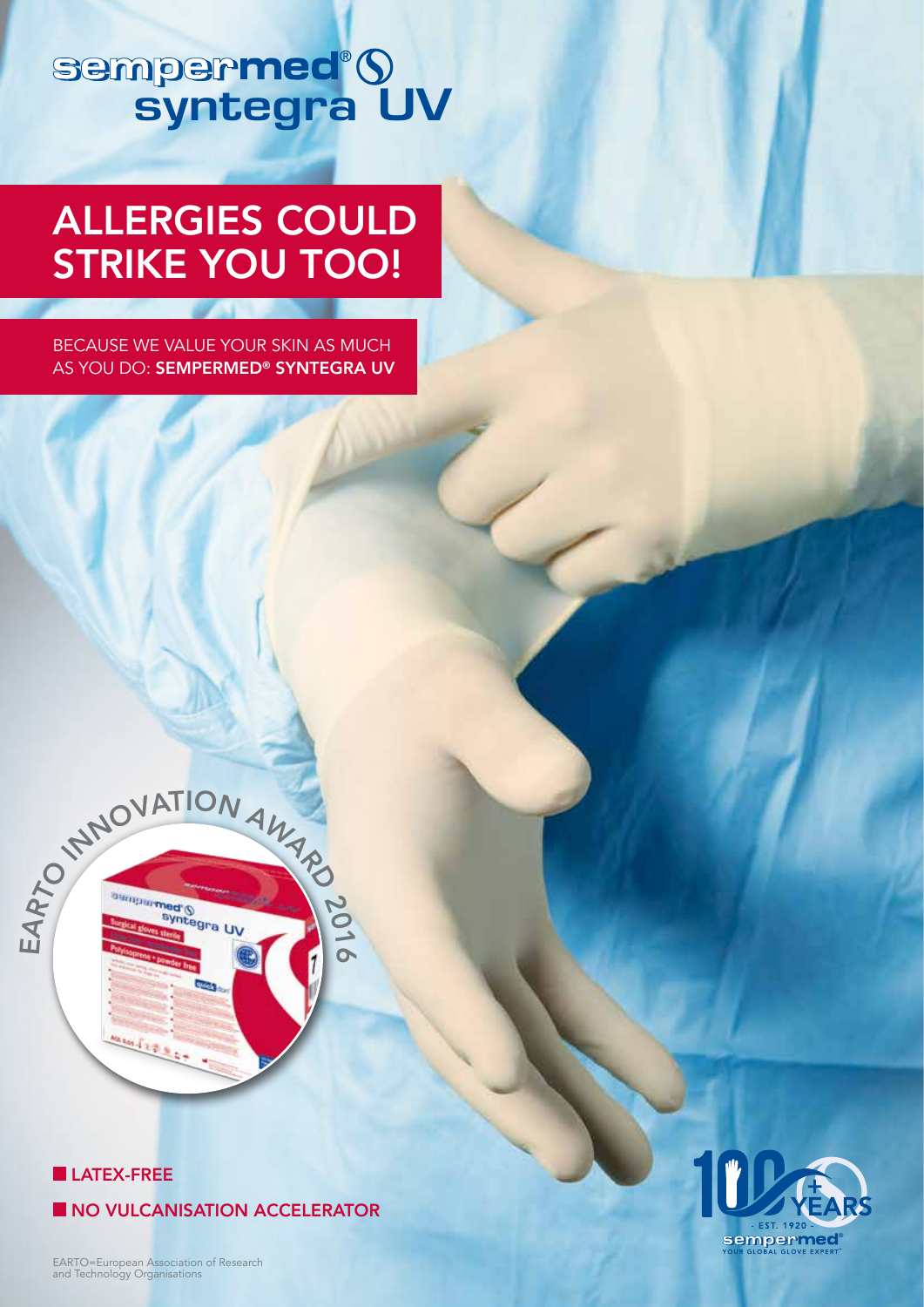# sempermed®9<br>syntegra UV

# ALLERGIES COULD STRIKE YOU TOO!

BECAUSE WE VALUE YOUR SKIN AS MUCH AS YOU DO: SEMPERMED<sup>®</sup> SYNTEGRA UV



20 1

 $\overline{\mathbf{C}}$ 

#### LATEX-FREE

NO VULCANISATION ACCELERATOR

EARTO=European Association of Research and Technology Organisations

55.112.8

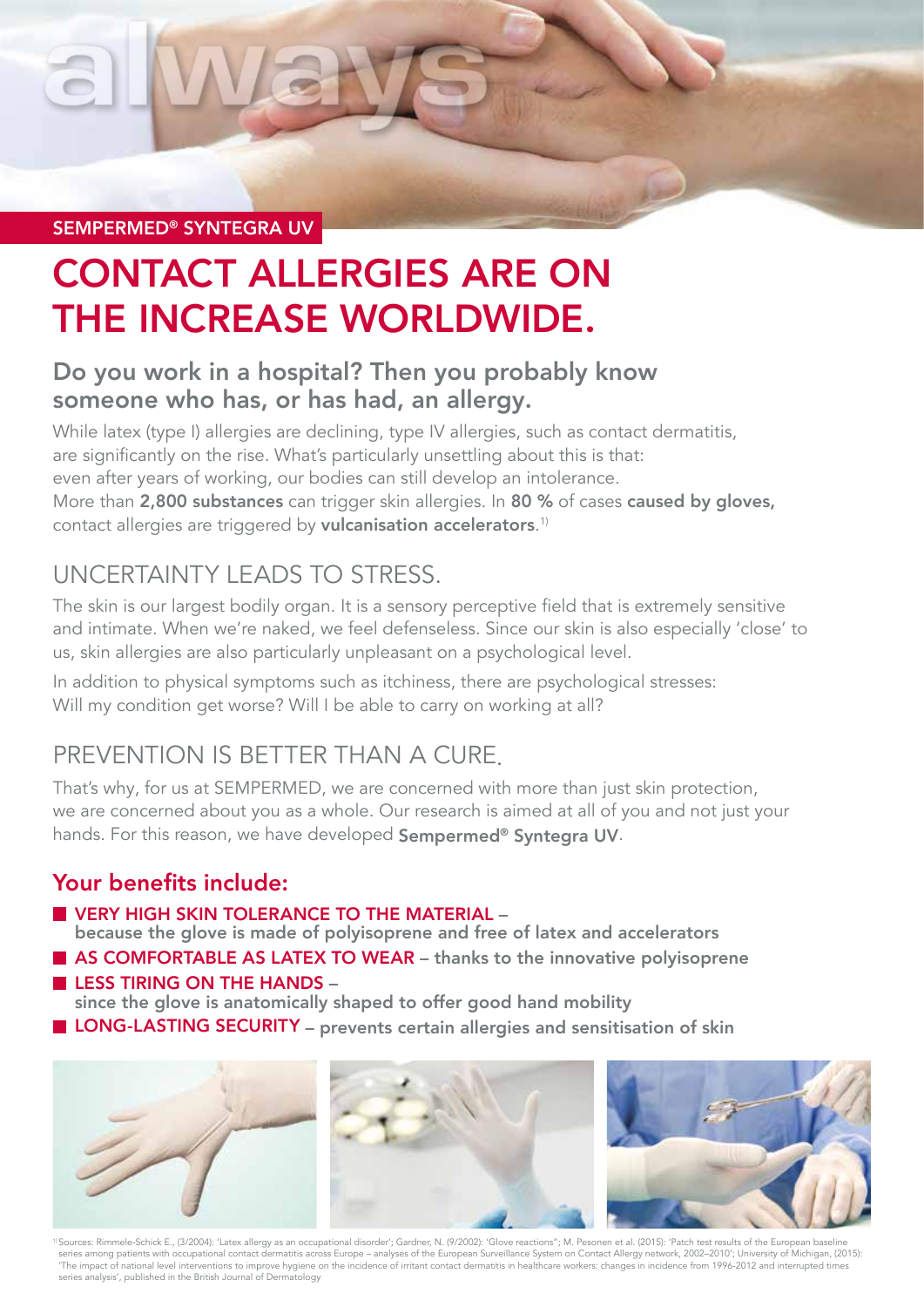SEMPERMED® SYNTEGRA UV

# CONTACT ALLERGIES ARE ON THE INCREASE WORLDWIDE.

### Do you work in a hospital? Then you probably know someone who has, or has had, an allergy.

While latex (type I) allergies are declining, type IV allergies, such as contact dermatitis, are significantly on the rise. What's particularly unsettling about this is that: even after years of working, our bodies can still develop an intolerance. More than 2,800 substances can trigger skin allergies. In 80 % of cases caused by gloves, contact allergies are triggered by **vulcanisation accelerators**.<sup>1)</sup>

## UNCERTAINTY LEADS TO STRESS.

The skin is our largest bodily organ. It is a sensory perceptive field that is extremely sensitive and intimate. When we're naked, we feel defenseless. Since our skin is also especially 'close' to us, skin allergies are also particularly unpleasant on a psychological level.

In addition to physical symptoms such as itchiness, there are psychological stresses: Will my condition get worse? Will I be able to carry on working at all?

# PREVENTION IS BETTER THAN A CURE.

That's why, for us at SEMPERMED, we are concerned with more than just skin protection, we are concerned about you as a whole. Our research is aimed at all of you and not just your hands. For this reason, we have developed Sempermed® Syntegra UV.

#### Your benefits include:

**UNDERY HIGH SKIN TOLERANCE TO THE MATERIAL –** 

because the glove is made of polyisoprene and free of latex and accelerators

AS COMFORTABLE AS LATEX TO WEAR - thanks to the innovative polyisoprene  $\blacksquare$  LESS TIRING ON THE HANDS -

since the glove is anatomically shaped to offer good hand mobility

**LONG-LASTING SECURITY** – prevents certain allergies and sensitisation of skin



1) Sources: Rimmele-Schick E., (3/2004): 'Latex allergy as an occupational disorder'; Gardner, N. (9/2002): 'Glove reactions"; M. Pesonen et al. (2015): 'Patch test results of the European baseline series among patients with occupational contact dermatitis across Europe – analyses of the European Surveillance System on Contact Allergy network, 2002–2010'; University of Michigan, (2015): 'The impact of national level interventions to improve hygiene on the incidence of irritant contact dermatitis in healthcare workers: changes in incidence from 1996-2012 and interrupted times series analysis', published in the British Journal of Dermatology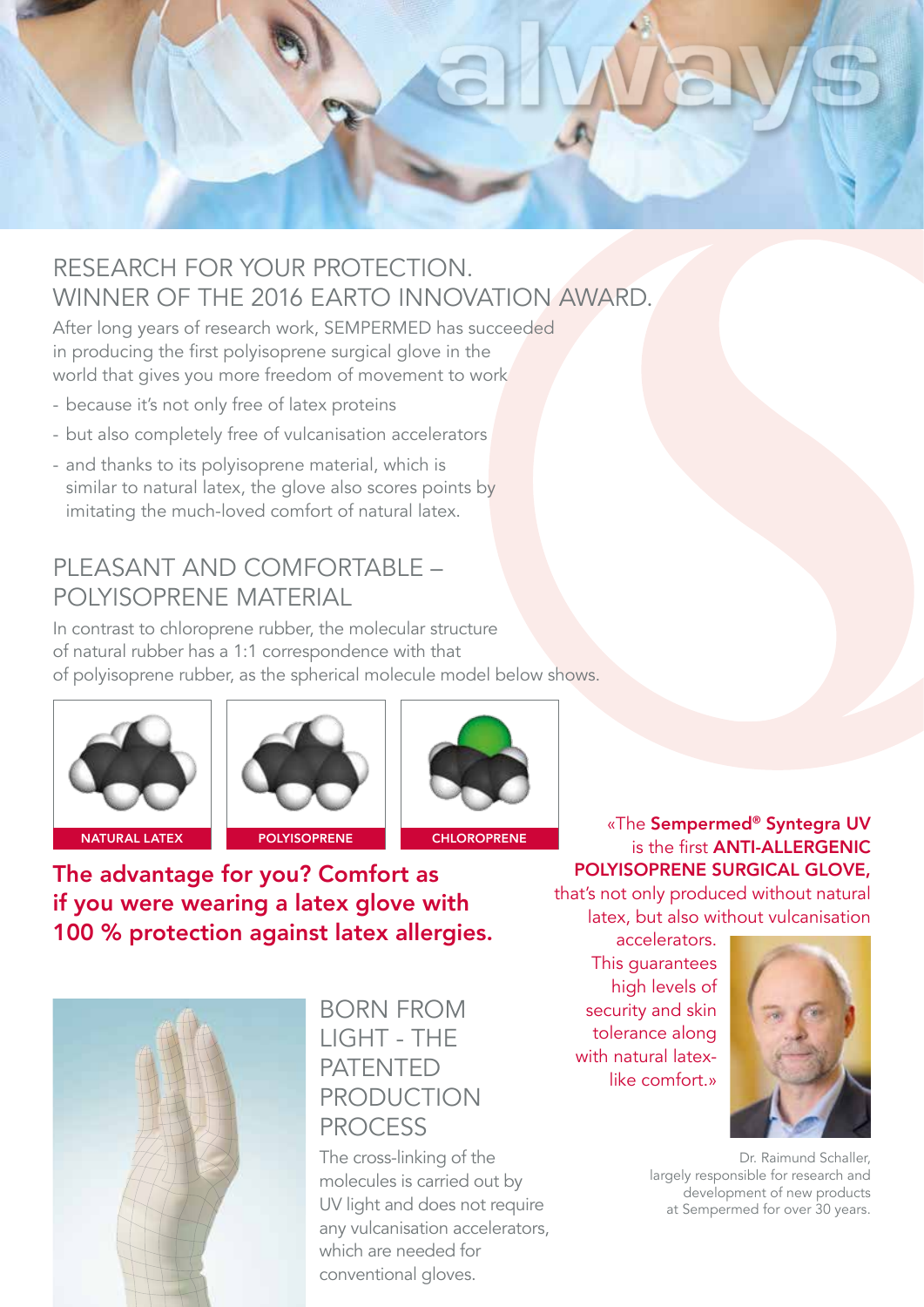

## RESEARCH FOR YOUR PROTECTION. WINNER OF THE 2016 EARTO INNOVATION AWARD.

After long years of research work, SEMPERMED has succeeded in producing the first polyisoprene surgical glove in the world that gives you more freedom of movement to work

- because it's not only free of latex proteins
- but also completely free of vulcanisation accelerators
- and thanks to its polyisoprene material, which is similar to natural latex, the glove also scores points by imitating the much-loved comfort of natural latex.

#### PLEASANT AND COMFORTABLE -POLYISOPRENE MATERIAL

In contrast to chloroprene rubber, the molecular structure of natural rubber has a 1:1 correspondence with that of polyisoprene rubber, as the spherical molecule model below shows.







The advantage for you? Comfort as if you were wearing a latex glove with 100 % protection against latex allergies.



#### BORN FROM LIGHT - THE PATENTED PRODUCTION PROCESS

The cross-linking of the molecules is carried out by UV light and does not require any vulcanisation accelerators, which are needed for conventional gloves.

«The Sempermed® Syntegra UV is the first ANTI-ALLERGENIC POLYISOPRENE SURGICAL GLOVE,

that's not only produced without natural latex, but also without vulcanisation

accelerators. This guarantees high levels of security and skin tolerance along with natural latexlike comfort.»



Dr. Raimund Schaller, largely responsible for research and development of new products at Sempermed for over 30 years.